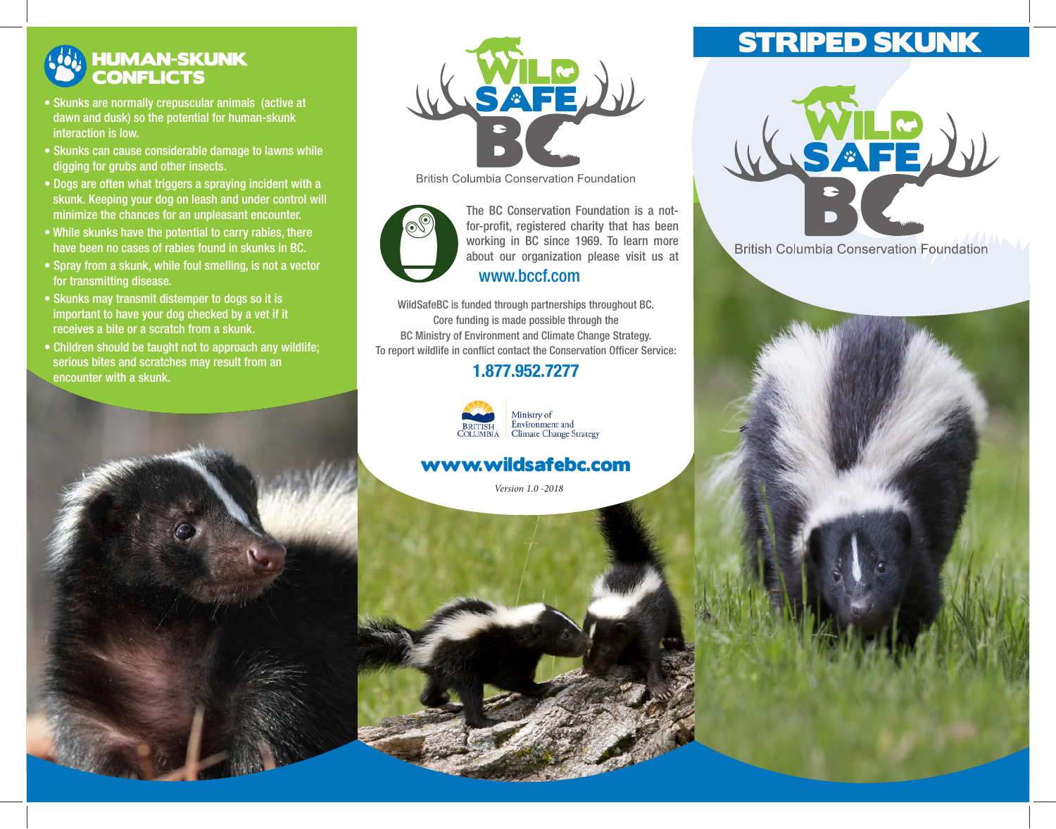## HUMAN-SKUNK **CONFLICTS**

- Skunks are normally crepuscular animals (active at dawn and dusk) so the potential for human-skunk interaction is low.
- Skunks can cause considerable damage to lawns while digging for grubs and other insects.
- Dogs are often what triggers a spraying incident with a skunk. Keeping your dog on leash and under control will minimize the chances for an unpleasant encounter.
- While skunks have the potential to carry rabies, there have been no cases of rabies found in skunks in BC.
- Spray from a skunk, while foul smelling, is not a vector for transmitting disease.
- Skunks may transmit distemper to dogs so it is important to have your dog checked by a vet if it receives a bite or a scratch from a skunk.
- Children should be taught not to approach any wildlife; serious bites and scratches may result from an encounter with a skunk.



**British Columbia Conservation Foundation** 



working in BC since 1969. To learn more about our organization please visit us at The BC Conservation Foundation is a notfor-profit, registered charity that has been www.bccf.com

WildSafeBC is funded through partnerships throughout BC. Core funding is made possible through the BC Ministry of Environment and Climate Change Strategy. To report wildlife in conflict contact the Conservation Officer Service:

#### 1.877.952.7277



Ministry of<br>Environment and<br>Climate Change Strategy

#### www.wildsafebc.com

*Version 1.0 -2018*

# STRIPED SKUNK